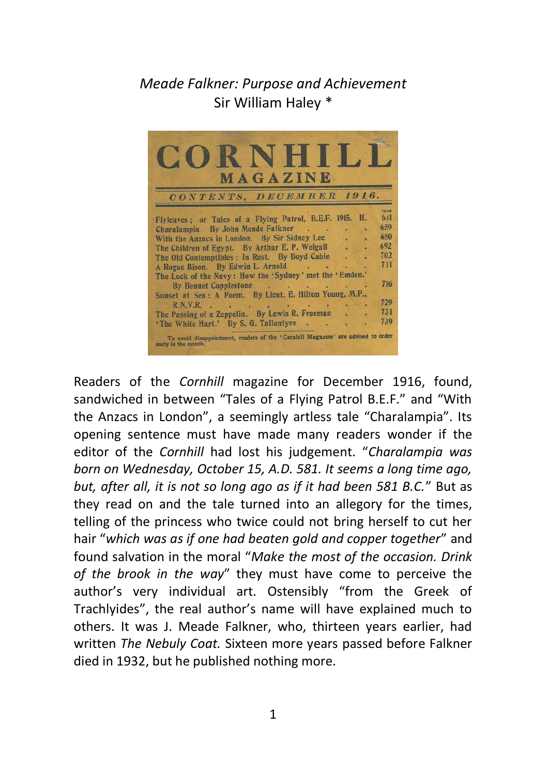## *Meade Falkner: Purpose and Achievement* Sir William Haley \*



Readers of the *Cornhill* magazine for December 1916, found, sandwiched in between "Tales of a Flying Patrol B.E.F." and "With the Anzacs in London", a seemingly artless tale "Charalampia". Its opening sentence must have made many readers wonder if the editor of the *Cornhill* had lost his judgement. "*Charalampia was born on Wednesday, October 15, A.D. 581. It seems a long time ago, but, after all, it is not so long ago as if it had been 581 B.C.*" But as they read on and the tale turned into an allegory for the times, telling of the princess who twice could not bring herself to cut her hair "*which was as if one had beaten gold and copper together*" and found salvation in the moral "*Make the most of the occasion. Drink of the brook in the way*" they must have come to perceive the author's very individual art. Ostensibly "from the Greek of Trachlyides", the real author's name will have explained much to others. It was J. Meade Falkner, who, thirteen years earlier, had written *The Nebuly Coat.* Sixteen more years passed before Falkner died in 1932, but he published nothing more.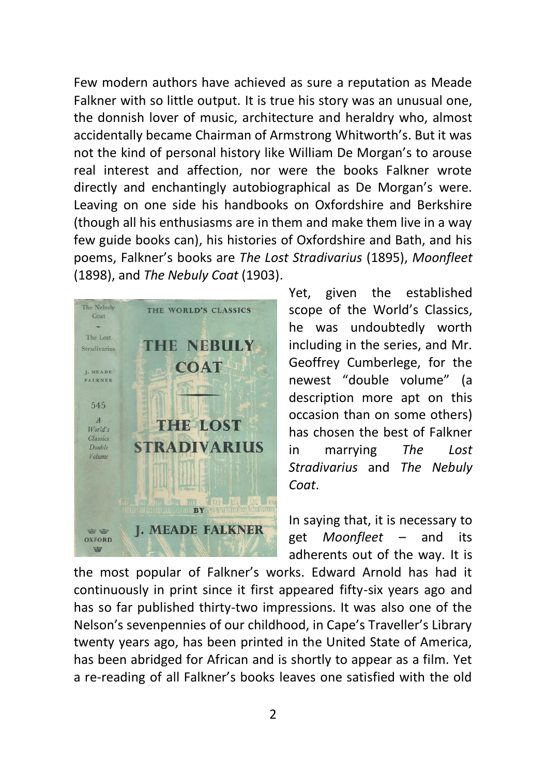Few modern authors have achieved as sure a reputation as Meade Falkner with so little output. It is true his story was an unusual one, the donnish lover of music, architecture and heraldry who, almost accidentally became Chairman of Armstrong Whitworth's. But it was not the kind of personal history like William De Morgan's to arouse real interest and affection, nor were the books Falkner wrote directly and enchantingly autobiographical as De Morgan's were. Leaving on one side his handbooks on Oxfordshire and Berkshire (though all his enthusiasms are in them and make them live in a way few guide books can), his histories of Oxfordshire and Bath, and his poems, Falkner's books are *The Lost Stradivarius* (1895), *Moonfleet* (1898), and *The Nebuly Coat* (1903).



Yet, given the established scope of the World's Classics, he was undoubtedly worth including in the series, and Mr. Geoffrey Cumberlege, for the newest "double volume" (a description more apt on this occasion than on some others) has chosen the best of Falkner in marrying *The Lost Stradivarius* and *The Nebuly Coat*.

In saying that, it is necessary to get *Moonfleet* – and its adherents out of the way. It is

the most popular of Falkner's works. Edward Arnold has had it continuously in print since it first appeared fifty-six years ago and has so far published thirty-two impressions. It was also one of the Nelson's sevenpennies of our childhood, in Cape's Traveller's Library twenty years ago, has been printed in the United State of America, has been abridged for African and is shortly to appear as a film. Yet a re-reading of all Falkner's books leaves one satisfied with the old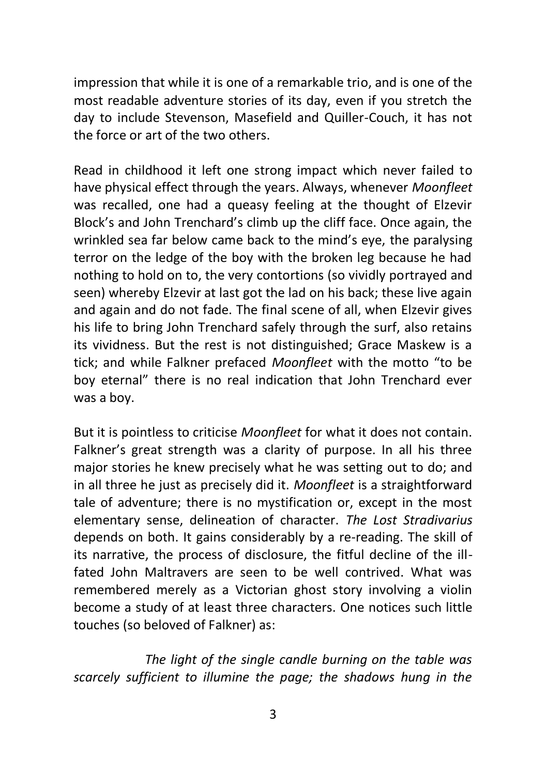impression that while it is one of a remarkable trio, and is one of the most readable adventure stories of its day, even if you stretch the day to include Stevenson, Masefield and Quiller-Couch, it has not the force or art of the two others.

Read in childhood it left one strong impact which never failed to have physical effect through the years. Always, whenever *Moonfleet*  was recalled, one had a queasy feeling at the thought of Elzevir Block's and John Trenchard's climb up the cliff face. Once again, the wrinkled sea far below came back to the mind's eye, the paralysing terror on the ledge of the boy with the broken leg because he had nothing to hold on to, the very contortions (so vividly portrayed and seen) whereby Elzevir at last got the lad on his back; these live again and again and do not fade. The final scene of all, when Elzevir gives his life to bring John Trenchard safely through the surf, also retains its vividness. But the rest is not distinguished; Grace Maskew is a tick; and while Falkner prefaced *Moonfleet* with the motto "to be boy eternal" there is no real indication that John Trenchard ever was a boy.

But it is pointless to criticise *Moonfleet* for what it does not contain. Falkner's great strength was a clarity of purpose. In all his three major stories he knew precisely what he was setting out to do; and in all three he just as precisely did it. *Moonfleet* is a straightforward tale of adventure; there is no mystification or, except in the most elementary sense, delineation of character. *The Lost Stradivarius* depends on both. It gains considerably by a re-reading. The skill of its narrative, the process of disclosure, the fitful decline of the illfated John Maltravers are seen to be well contrived. What was remembered merely as a Victorian ghost story involving a violin become a study of at least three characters. One notices such little touches (so beloved of Falkner) as:

 *The light of the single candle burning on the table was scarcely sufficient to illumine the page; the shadows hung in the*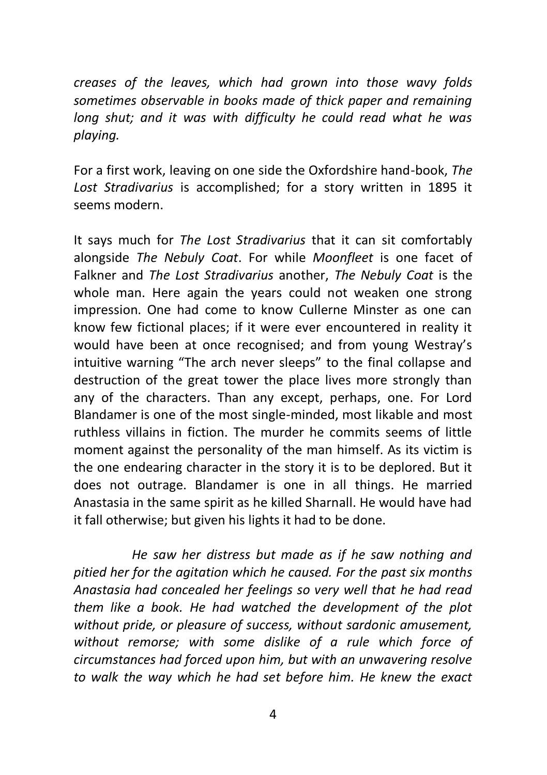*creases of the leaves, which had grown into those wavy folds sometimes observable in books made of thick paper and remaining long shut; and it was with difficulty he could read what he was playing.*

For a first work, leaving on one side the Oxfordshire hand-book, *The Lost Stradivarius* is accomplished; for a story written in 1895 it seems modern.

It says much for *The Lost Stradivarius* that it can sit comfortably alongside *The Nebuly Coat*. For while *Moonfleet* is one facet of Falkner and *The Lost Stradivarius* another, *The Nebuly Coat* is the whole man. Here again the years could not weaken one strong impression. One had come to know Cullerne Minster as one can know few fictional places; if it were ever encountered in reality it would have been at once recognised; and from young Westray's intuitive warning "The arch never sleeps" to the final collapse and destruction of the great tower the place lives more strongly than any of the characters. Than any except, perhaps, one. For Lord Blandamer is one of the most single-minded, most likable and most ruthless villains in fiction. The murder he commits seems of little moment against the personality of the man himself. As its victim is the one endearing character in the story it is to be deplored. But it does not outrage. Blandamer is one in all things. He married Anastasia in the same spirit as he killed Sharnall. He would have had it fall otherwise; but given his lights it had to be done.

 *He saw her distress but made as if he saw nothing and pitied her for the agitation which he caused. For the past six months Anastasia had concealed her feelings so very well that he had read them like a book. He had watched the development of the plot without pride, or pleasure of success, without sardonic amusement, without remorse; with some dislike of a rule which force of circumstances had forced upon him, but with an unwavering resolve to walk the way which he had set before him. He knew the exact*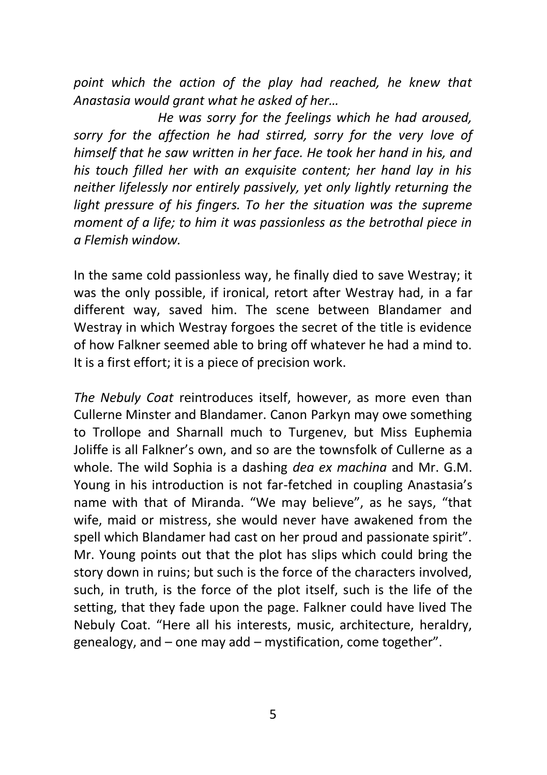*point which the action of the play had reached, he knew that Anastasia would grant what he asked of her…*

 *He was sorry for the feelings which he had aroused, sorry for the affection he had stirred, sorry for the very love of himself that he saw written in her face. He took her hand in his, and his touch filled her with an exquisite content; her hand lay in his neither lifelessly nor entirely passively, yet only lightly returning the light pressure of his fingers. To her the situation was the supreme moment of a life; to him it was passionless as the betrothal piece in a Flemish window.*

In the same cold passionless way, he finally died to save Westray; it was the only possible, if ironical, retort after Westray had, in a far different way, saved him. The scene between Blandamer and Westray in which Westray forgoes the secret of the title is evidence of how Falkner seemed able to bring off whatever he had a mind to. It is a first effort; it is a piece of precision work.

*The Nebuly Coat* reintroduces itself, however, as more even than Cullerne Minster and Blandamer. Canon Parkyn may owe something to Trollope and Sharnall much to Turgenev, but Miss Euphemia Joliffe is all Falkner's own, and so are the townsfolk of Cullerne as a whole. The wild Sophia is a dashing *dea ex machina* and Mr. G.M. Young in his introduction is not far-fetched in coupling Anastasia's name with that of Miranda. "We may believe", as he says, "that wife, maid or mistress, she would never have awakened from the spell which Blandamer had cast on her proud and passionate spirit". Mr. Young points out that the plot has slips which could bring the story down in ruins; but such is the force of the characters involved, such, in truth, is the force of the plot itself, such is the life of the setting, that they fade upon the page. Falkner could have lived The Nebuly Coat. "Here all his interests, music, architecture, heraldry, genealogy, and – one may add – mystification, come together".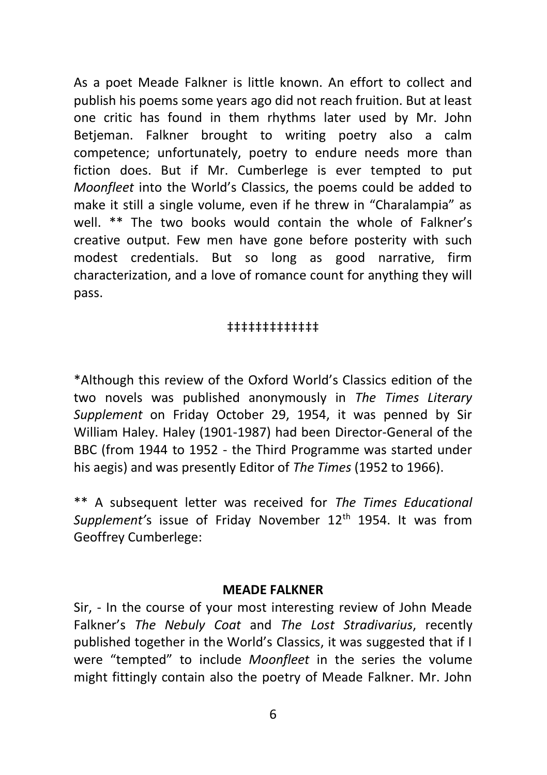As a poet Meade Falkner is little known. An effort to collect and publish his poems some years ago did not reach fruition. But at least one critic has found in them rhythms later used by Mr. John Betieman. Falkner brought to writing poetry also a calm competence; unfortunately, poetry to endure needs more than fiction does. But if Mr. Cumberlege is ever tempted to put *Moonfleet* into the World's Classics, the poems could be added to make it still a single volume, even if he threw in "Charalampia" as well. \*\* The two books would contain the whole of Falkner's creative output. Few men have gone before posterity with such modest credentials. But so long as good narrative, firm characterization, and a love of romance count for anything they will pass.

## ‡‡‡‡‡‡‡‡‡‡‡‡‡

\*Although this review of the Oxford World's Classics edition of the two novels was published anonymously in *The Times Literary Supplement* on Friday October 29, 1954, it was penned by Sir William Haley. Haley (1901-1987) had been Director-General of the BBC (from 1944 to 1952 - the Third Programme was started under his aegis) and was presently Editor of *The Times* (1952 to 1966).

\*\* A subsequent letter was received for *The Times Educational Supplement's* issue of Friday November 12<sup>th</sup> 1954. It was from Geoffrey Cumberlege:

## **MEADE FALKNER**

Sir, - In the course of your most interesting review of John Meade Falkner's *The Nebuly Coat* and *The Lost Stradivarius*, recently published together in the World's Classics, it was suggested that if I were "tempted" to include *Moonfleet* in the series the volume might fittingly contain also the poetry of Meade Falkner. Mr. John